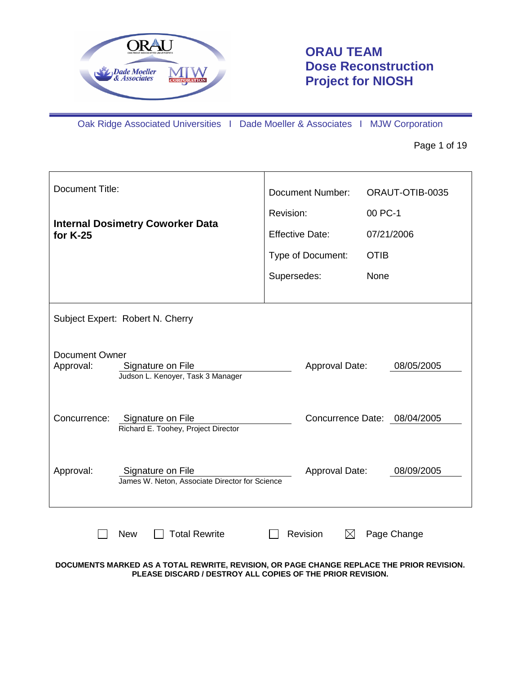

# **ORAU TEAM Dose Reconstruction Project for NIOSH**

Oak Ridge Associated Universities I Dade Moeller & Associates I MJW Corporation

Page 1 of 19

| <b>Document Title:</b>             |                                                                     | <b>Document Number:</b> | ORAUT-OTIB-0035              |
|------------------------------------|---------------------------------------------------------------------|-------------------------|------------------------------|
|                                    |                                                                     | Revision:               | 00 PC-1                      |
| for $K-25$                         | <b>Internal Dosimetry Coworker Data</b>                             |                         | 07/21/2006                   |
|                                    |                                                                     | Type of Document:       | <b>OTIB</b>                  |
|                                    |                                                                     | Supersedes:             | None                         |
|                                    |                                                                     |                         |                              |
|                                    | Subject Expert: Robert N. Cherry                                    |                         |                              |
| <b>Document Owner</b><br>Approval: | Signature on File<br>Judson L. Kenoyer, Task 3 Manager              | Approval Date:          | 08/05/2005                   |
| Concurrence:                       | Signature on File<br>Richard E. Toohey, Project Director            |                         | Concurrence Date: 08/04/2005 |
| Approval:                          | Signature on File<br>James W. Neton, Associate Director for Science | Approval Date:          | 08/09/2005                   |
|                                    | <b>Total Rewrite</b><br><b>New</b>                                  | Revision                | Page Change                  |

**DOCUMENTS MARKED AS A TOTAL REWRITE, REVISION, OR PAGE CHANGE REPLACE THE PRIOR REVISION. PLEASE DISCARD / DESTROY ALL COPIES OF THE PRIOR REVISION.**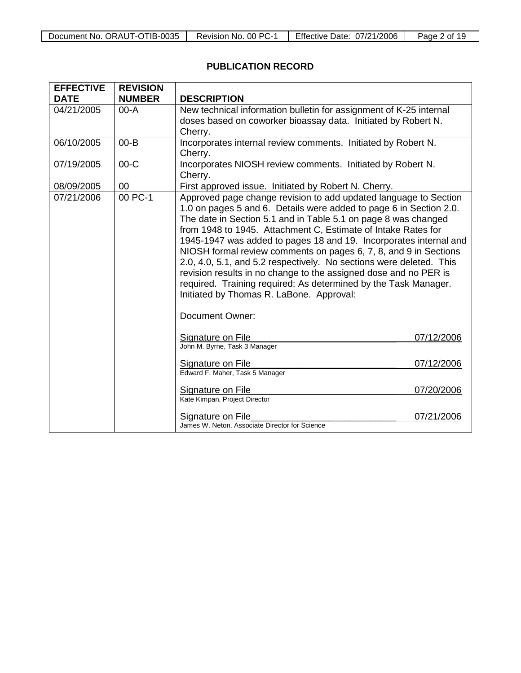| Document No. ORAUT-OTIB-0035 | Revision No. 00 PC-1 | Effective Date: 07/21/2006 | 19<br>Page 2 of |
|------------------------------|----------------------|----------------------------|-----------------|

## **PUBLICATION RECORD**

| <b>EFFECTIVE</b> | <b>REVISION</b> |                                                                                                                                                                                                                                                                                                                                                                                                                                                                                                                                                                                                                                                                              |            |
|------------------|-----------------|------------------------------------------------------------------------------------------------------------------------------------------------------------------------------------------------------------------------------------------------------------------------------------------------------------------------------------------------------------------------------------------------------------------------------------------------------------------------------------------------------------------------------------------------------------------------------------------------------------------------------------------------------------------------------|------------|
| <b>DATE</b>      | <b>NUMBER</b>   | <b>DESCRIPTION</b>                                                                                                                                                                                                                                                                                                                                                                                                                                                                                                                                                                                                                                                           |            |
| 04/21/2005       | $00 - A$        | New technical information bulletin for assignment of K-25 internal<br>doses based on coworker bioassay data. Initiated by Robert N.<br>Cherry.                                                                                                                                                                                                                                                                                                                                                                                                                                                                                                                               |            |
| 06/10/2005       | $00 - B$        | Incorporates internal review comments. Initiated by Robert N.<br>Cherry.                                                                                                                                                                                                                                                                                                                                                                                                                                                                                                                                                                                                     |            |
| 07/19/2005       | $00-C$          | Incorporates NIOSH review comments. Initiated by Robert N.<br>Cherry.                                                                                                                                                                                                                                                                                                                                                                                                                                                                                                                                                                                                        |            |
| 08/09/2005       | 00              | First approved issue. Initiated by Robert N. Cherry.                                                                                                                                                                                                                                                                                                                                                                                                                                                                                                                                                                                                                         |            |
| 07/21/2006       | 00 PC-1         | Approved page change revision to add updated language to Section<br>1.0 on pages 5 and 6. Details were added to page 6 in Section 2.0.<br>The date in Section 5.1 and in Table 5.1 on page 8 was changed<br>from 1948 to 1945. Attachment C, Estimate of Intake Rates for<br>1945-1947 was added to pages 18 and 19. Incorporates internal and<br>NIOSH formal review comments on pages 6, 7, 8, and 9 in Sections<br>2.0, 4.0, 5.1, and 5.2 respectively. No sections were deleted. This<br>revision results in no change to the assigned dose and no PER is<br>required. Training required: As determined by the Task Manager.<br>Initiated by Thomas R. LaBone. Approval: |            |
|                  |                 | Document Owner:                                                                                                                                                                                                                                                                                                                                                                                                                                                                                                                                                                                                                                                              |            |
|                  |                 | Signature on File<br>John M. Byrne, Task 3 Manager                                                                                                                                                                                                                                                                                                                                                                                                                                                                                                                                                                                                                           | 07/12/2006 |
|                  |                 | <b>Signature on File</b><br>Edward F. Maher, Task 5 Manager                                                                                                                                                                                                                                                                                                                                                                                                                                                                                                                                                                                                                  | 07/12/2006 |
|                  |                 | Signature on File<br>Kate Kimpan, Project Director                                                                                                                                                                                                                                                                                                                                                                                                                                                                                                                                                                                                                           | 07/20/2006 |
|                  |                 | Signature on File<br>James W. Neton, Associate Director for Science                                                                                                                                                                                                                                                                                                                                                                                                                                                                                                                                                                                                          | 07/21/2006 |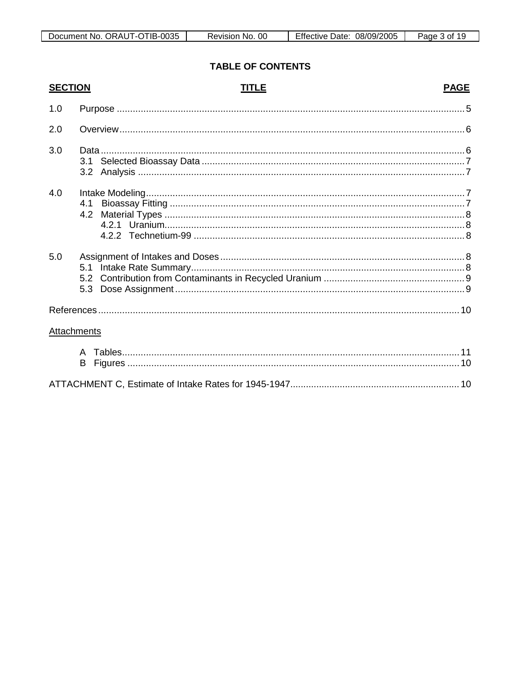Page 3 of 19

### **TABLE OF CONTENTS**

| <b>SECTION</b> |                         | TITLE | <b>PAGE</b> |
|----------------|-------------------------|-------|-------------|
| 1.0            |                         |       |             |
| 2.0            |                         |       |             |
| 3.0            | 3.1<br>3.2 <sub>1</sub> |       |             |
| 4.0            | 4.1<br>4.2              |       |             |
| 5.0            | 5.1<br>5.3              |       |             |
|                |                         |       |             |
| Attachments    |                         |       |             |
|                | A<br>В                  |       |             |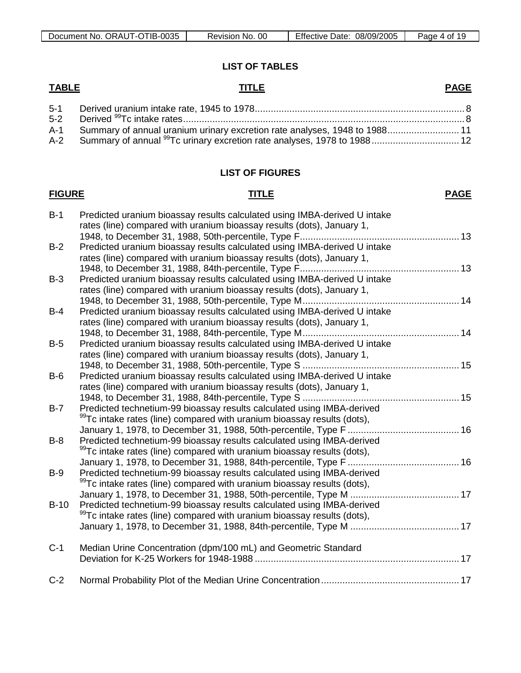| $\cdot$ i -O $\top$ .<br>TIB-0035<br>ORAUT<br>Document No.<br>\ <i>J</i> | OC<br>No.<br>Revision | Effective<br>08/09/2005<br>Date: | Page<br>. of |
|--------------------------------------------------------------------------|-----------------------|----------------------------------|--------------|

#### **LIST OF TABLES**

#### **TABLE TITLE** 5-1 Derived uranium intake rate, 1945 to 1978............................................................................... 8 **PAGE** 5-2 Derived 99Tc intake rates..........................................................................................................8 A-1 Summary of annual uranium urinary excretion rate analyses, 1948 to 1988........................... 11 A-2 Summary of annual <sup>99</sup>Tc urinary excretion rate analyses, 1978 to 1988................................ 12

#### **LIST OF FIGURES**

#### **FIGURE TITLE**

**PAGE**

| $B-1$  | Predicted uranium bioassay results calculated using IMBA-derived U intake<br>rates (line) compared with uranium bioassay results (dots), January 1,           |  |
|--------|---------------------------------------------------------------------------------------------------------------------------------------------------------------|--|
| $B-2$  | Predicted uranium bioassay results calculated using IMBA-derived U intake<br>rates (line) compared with uranium bioassay results (dots), January 1,           |  |
| $B-3$  | Predicted uranium bioassay results calculated using IMBA-derived U intake<br>rates (line) compared with uranium bioassay results (dots), January 1,           |  |
| $B-4$  | Predicted uranium bioassay results calculated using IMBA-derived U intake<br>rates (line) compared with uranium bioassay results (dots), January 1,           |  |
| $B-5$  | Predicted uranium bioassay results calculated using IMBA-derived U intake<br>rates (line) compared with uranium bioassay results (dots), January 1,           |  |
| $B-6$  | Predicted uranium bioassay results calculated using IMBA-derived U intake<br>rates (line) compared with uranium bioassay results (dots), January 1,           |  |
| $B-7$  | Predicted technetium-99 bioassay results calculated using IMBA-derived<br><sup>99</sup> Tc intake rates (line) compared with uranium bioassay results (dots), |  |
| $B-8$  | Predicted technetium-99 bioassay results calculated using IMBA-derived<br><sup>99</sup> Tc intake rates (line) compared with uranium bioassay results (dots), |  |
| $B-9$  | Predicted technetium-99 bioassay results calculated using IMBA-derived<br><sup>99</sup> Tc intake rates (line) compared with uranium bioassay results (dots), |  |
| $B-10$ | Predicted technetium-99 bioassay results calculated using IMBA-derived<br><sup>99</sup> Tc intake rates (line) compared with uranium bioassay results (dots), |  |
| $C-1$  | Median Urine Concentration (dpm/100 mL) and Geometric Standard                                                                                                |  |
| $C-2$  |                                                                                                                                                               |  |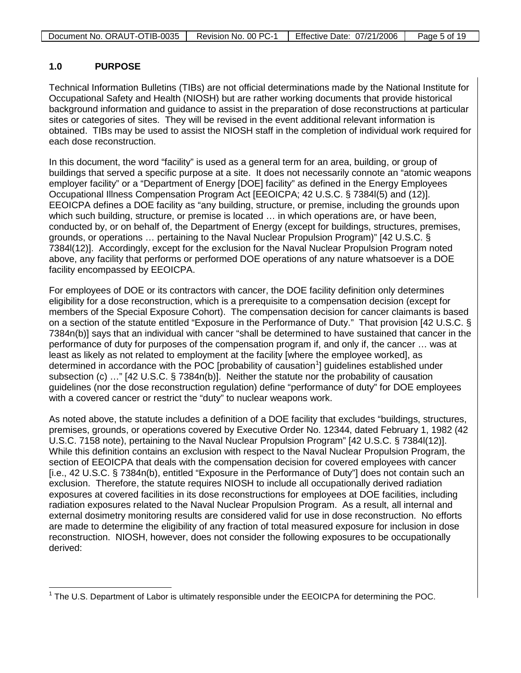| Document No. ORAUT-OTIB-0035 | Revision No. 00 PC-1 | Effective Date: 07/21/2006 | Page 5 of 19 |
|------------------------------|----------------------|----------------------------|--------------|
|                              |                      |                            |              |

#### **1.0 PURPOSE**

Technical Information Bulletins (TIBs) are not official determinations made by the National Institute for Occupational Safety and Health (NIOSH) but are rather working documents that provide historical background information and guidance to assist in the preparation of dose reconstructions at particular sites or categories of sites. They will be revised in the event additional relevant information is obtained. TIBs may be used to assist the NIOSH staff in the completion of individual work required for each dose reconstruction.

In this document, the word "facility" is used as a general term for an area, building, or group of buildings that served a specific purpose at a site. It does not necessarily connote an "atomic weapons employer facility" or a "Department of Energy [DOE] facility" as defined in the Energy Employees Occupational Illness Compensation Program Act [EEOICPA; 42 U.S.C. § 7384l(5) and (12)]. EEOICPA defines a DOE facility as "any building, structure, or premise, including the grounds upon which such building, structure, or premise is located … in which operations are, or have been, conducted by, or on behalf of, the Department of Energy (except for buildings, structures, premises, grounds, or operations … pertaining to the Naval Nuclear Propulsion Program)" [42 U.S.C. § 7384l(12)]. Accordingly, except for the exclusion for the Naval Nuclear Propulsion Program noted above, any facility that performs or performed DOE operations of any nature whatsoever is a DOE facility encompassed by EEOICPA.

For employees of DOE or its contractors with cancer, the DOE facility definition only determines eligibility for a dose reconstruction, which is a prerequisite to a compensation decision (except for members of the Special Exposure Cohort). The compensation decision for cancer claimants is based on a section of the statute entitled "Exposure in the Performance of Duty." That provision [42 U.S.C. § 7384n(b)] says that an individual with cancer "shall be determined to have sustained that cancer in the performance of duty for purposes of the compensation program if, and only if, the cancer … was at least as likely as not related to employment at the facility [where the employee worked], as determined in accordance with the POC [probability of causation<sup>[1](#page-4-0)</sup>] guidelines established under subsection (c) …" [42 U.S.C. § 7384n(b)]. Neither the statute nor the probability of causation guidelines (nor the dose reconstruction regulation) define "performance of duty" for DOE employees with a covered cancer or restrict the "duty" to nuclear weapons work.

As noted above, the statute includes a definition of a DOE facility that excludes "buildings, structures, premises, grounds, or operations covered by Executive Order No. 12344, dated February 1, 1982 (42 U.S.C. 7158 note), pertaining to the Naval Nuclear Propulsion Program" [42 U.S.C. § 7384l(12)]. While this definition contains an exclusion with respect to the Naval Nuclear Propulsion Program, the section of EEOICPA that deals with the compensation decision for covered employees with cancer [i.e., 42 U.S.C. § 7384n(b), entitled "Exposure in the Performance of Duty"] does not contain such an exclusion. Therefore, the statute requires NIOSH to include all occupationally derived radiation exposures at covered facilities in its dose reconstructions for employees at DOE facilities, including radiation exposures related to the Naval Nuclear Propulsion Program. As a result, all internal and external dosimetry monitoring results are considered valid for use in dose reconstruction. No efforts are made to determine the eligibility of any fraction of total measured exposure for inclusion in dose reconstruction. NIOSH, however, does not consider the following exposures to be occupationally derived:

<span id="page-4-0"></span> $\overline{\phantom{a}}$  $1$  The U.S. Department of Labor is ultimately responsible under the EEOICPA for determining the POC.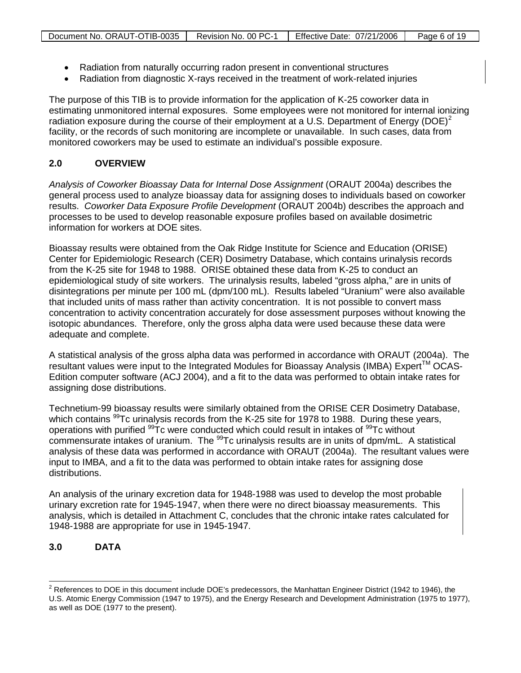| Document No. ORAUT-OTIB-0035   Revision No. 00 PC-1   Effective Date: 07/21/2006 |  | Page 6 of 19 |
|----------------------------------------------------------------------------------|--|--------------|

- Radiation from naturally occurring radon present in conventional structures
- Radiation from diagnostic X-rays received in the treatment of work-related injuries

The purpose of this TIB is to provide information for the application of K-25 coworker data in estimating unmonitored internal exposures. Some employees were not monitored for internal ionizing radiation exposure during the course of their employment at a U.S. Department of Energy (DOE)<sup>[2](#page-5-0)</sup> facility, or the records of such monitoring are incomplete or unavailable. In such cases, data from monitored coworkers may be used to estimate an individual's possible exposure.

### **2.0 OVERVIEW**

*Analysis of Coworker Bioassay Data for Internal Dose Assignment* (ORAUT 2004a) describes the general process used to analyze bioassay data for assigning doses to individuals based on coworker results. *Coworker Data Exposure Profile Development* (ORAUT 2004b) describes the approach and processes to be used to develop reasonable exposure profiles based on available dosimetric information for workers at DOE sites.

Bioassay results were obtained from the Oak Ridge Institute for Science and Education (ORISE) Center for Epidemiologic Research (CER) Dosimetry Database, which contains urinalysis records from the K-25 site for 1948 to 1988. ORISE obtained these data from K-25 to conduct an epidemiological study of site workers. The urinalysis results, labeled "gross alpha," are in units of disintegrations per minute per 100 mL (dpm/100 mL). Results labeled "Uranium" were also available that included units of mass rather than activity concentration. It is not possible to convert mass concentration to activity concentration accurately for dose assessment purposes without knowing the isotopic abundances. Therefore, only the gross alpha data were used because these data were adequate and complete.

A statistical analysis of the gross alpha data was performed in accordance with ORAUT (2004a). The resultant values were input to the Integrated Modules for Bioassay Analysis (IMBA) Expert™ OCAS-Edition computer software (ACJ 2004), and a fit to the data was performed to obtain intake rates for assigning dose distributions.

Technetium-99 bioassay results were similarly obtained from the ORISE CER Dosimetry Database, which contains  $^{99}$ Tc urinalysis records from the K-25 site for 1978 to 1988. During these years, operations with purified <sup>99</sup>Tc were conducted which could result in intakes of <sup>99</sup>Tc without commensurate intakes of uranium. The <sup>99</sup>Tc urinalysis results are in units of dpm/mL. A statistical analysis of these data was performed in accordance with ORAUT (2004a). The resultant values were input to IMBA, and a fit to the data was performed to obtain intake rates for assigning dose distributions.

An analysis of the urinary excretion data for 1948-1988 was used to develop the most probable urinary excretion rate for 1945-1947, when there were no direct bioassay measurements. This analysis, which is detailed in Attachment C, concludes that the chronic intake rates calculated for 1948-1988 are appropriate for use in 1945-1947.

### **3.0 DATA**

 $\overline{a}$ 

<span id="page-5-0"></span> $2$  References to DOE in this document include DOE's predecessors, the Manhattan Engineer District (1942 to 1946), the U.S. Atomic Energy Commission (1947 to 1975), and the Energy Research and Development Administration (1975 to 1977), as well as DOE (1977 to the present).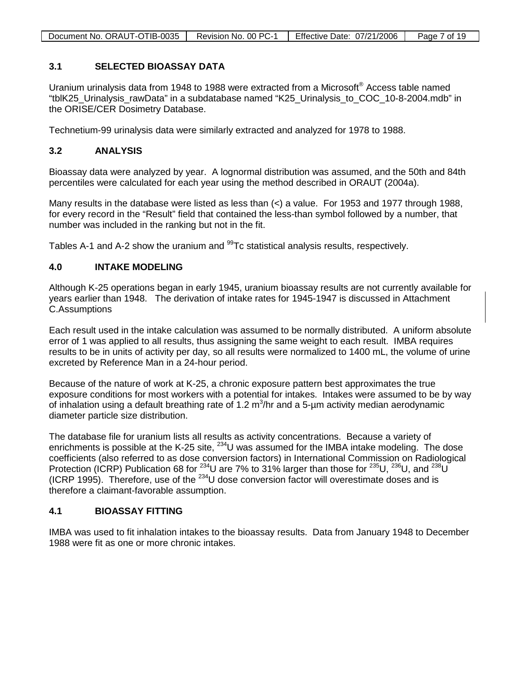| Document No. ORAUT-OTIB-0035 | Revision No. 00 PC-1 | Effective Date: 07/21/2006 | Page 7 of 19 |
|------------------------------|----------------------|----------------------------|--------------|

#### **3.1 SELECTED BIOASSAY DATA**

Uranium urinalysis data from 1948 to 1988 were extracted from a Microsoft® Access table named "tblK25\_Urinalysis\_rawData" in a subdatabase named "K25\_Urinalysis\_to\_COC\_10-8-2004.mdb" in the ORISE/CER Dosimetry Database.

Technetium-99 urinalysis data were similarly extracted and analyzed for 1978 to 1988.

#### **3.2 ANALYSIS**

Bioassay data were analyzed by year. A lognormal distribution was assumed, and the 50th and 84th percentiles were calculated for each year using the method described in ORAUT (2004a).

Many results in the database were listed as less than  $\leq$  a value. For 1953 and 1977 through 1988, for every record in the "Result" field that contained the less-than symbol followed by a number, that number was included in the ranking but not in the fit.

Tables A-1 and A-2 show the uranium and <sup>99</sup>Tc statistical analysis results, respectively.

#### **4.0 INTAKE MODELING**

Although K-25 operations began in early 1945, uranium bioassay results are not currently available for years earlier than 1948. The derivation of intake rates for 1945-1947 is discussed in Attachment C.Assumptions

Each result used in the intake calculation was assumed to be normally distributed. A uniform absolute error of 1 was applied to all results, thus assigning the same weight to each result. IMBA requires results to be in units of activity per day, so all results were normalized to 1400 mL, the volume of urine excreted by Reference Man in a 24-hour period.

Because of the nature of work at K-25, a chronic exposure pattern best approximates the true exposure conditions for most workers with a potential for intakes. Intakes were assumed to be by way of inhalation using a default breathing rate of 1.2  $m^3/hr$  and a 5-µm activity median aerodynamic diameter particle size distribution.

The database file for uranium lists all results as activity concentrations. Because a variety of enrichments is possible at the K-25 site,  $^{234}$ U was assumed for the IMBA intake modeling. The dose coefficients (also referred to as dose conversion factors) in International Commission on Radiological Protection (ICRP) Publication 68 for <sup>234</sup>U are 7% to 31% larger than those for <sup>235</sup>U, <sup>236</sup>U, and <sup>238</sup>U (ICRP 1995). Therefore, use of the  $^{234}$ U dose conversion factor will overestimate doses and is therefore a claimant-favorable assumption.

#### **4.1 BIOASSAY FITTING**

IMBA was used to fit inhalation intakes to the bioassay results. Data from January 1948 to December 1988 were fit as one or more chronic intakes.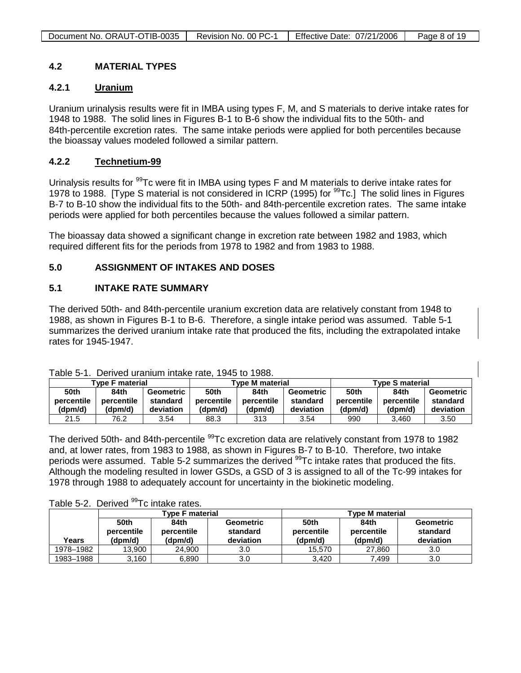| Document No. ORAUT-OTIB-0035 | Revision No. 00 PC-1 | Effective Date: 07/21/2006 | Page 8 of 19 |
|------------------------------|----------------------|----------------------------|--------------|
|                              |                      |                            |              |

#### **4.2 MATERIAL TYPES**

#### **4.2.1 Uranium**

Uranium urinalysis results were fit in IMBA using types F, M, and S materials to derive intake rates for 1948 to 1988. The solid lines in Figures B-1 to B-6 show the individual fits to the 50th- and 84th-percentile excretion rates. The same intake periods were applied for both percentiles because the bioassay values modeled followed a similar pattern.

#### **4.2.2 Technetium-99**

Urinalysis results for <sup>99</sup>Tc were fit in IMBA using types F and M materials to derive intake rates for 1978 to 1988. [Type S material is not considered in ICRP (1995) for <sup>99</sup>Tc.] The solid lines in Figures B-7 to B-10 show the individual fits to the 50th- and 84th-percentile excretion rates. The same intake periods were applied for both percentiles because the values followed a similar pattern.

The bioassay data showed a significant change in excretion rate between 1982 and 1983, which required different fits for the periods from 1978 to 1982 and from 1983 to 1988.

#### **5.0 ASSIGNMENT OF INTAKES AND DOSES**

#### **5.1 INTAKE RATE SUMMARY**

The derived 50th- and 84th-percentile uranium excretion data are relatively constant from 1948 to 1988, as shown in Figures B-1 to B-6. Therefore, a single intake period was assumed. Table 5-1 summarizes the derived uranium intake rate that produced the fits, including the extrapolated intake rates for 1945-1947.

| UNIV V II<br><b>PUITTUM MIMILIERIM IN TULLE IN 1999.</b> |            |           |                 |            |           |                        |            |           |
|----------------------------------------------------------|------------|-----------|-----------------|------------|-----------|------------------------|------------|-----------|
| Tvpe F material                                          |            |           | Tvpe M material |            |           | <b>Type S material</b> |            |           |
| 50th                                                     | 84th       | Geometric | <b>50th</b>     | 84th       | Geometric | 50th                   | 84th       | Geometric |
| percentile                                               | percentile | standard  | percentile      | percentile | standard  | percentile             | percentile | standard  |
| (dpm/d)                                                  | (dpm/d)    | deviation | (dpm/d)         | (dpm/d)    | deviation | (dpm/d)                | (dpm/d)    | deviation |
| 21.5                                                     | 76.2       | 3.54      | 88.3            | 313        | 3.54      | 990                    | 3.460      | 3.50      |

Table 5-1. Derived uranium intake rate, 1945 to 1988.

The derived 50th- and 84th-percentile <sup>99</sup>Tc excretion data are relatively constant from 1978 to 1982 and, at lower rates, from 1983 to 1988, as shown in Figures B-7 to B-10. Therefore, two intake periods were assumed. Table 5-2 summarizes the derived <sup>99</sup>Tc intake rates that produced the fits. Although the modeling resulted in lower GSDs, a GSD of 3 is assigned to all of the Tc-99 intakes for 1978 through 1988 to adequately account for uncertainty in the biokinetic modeling.

Table 5-2. Derived <sup>99</sup>Tc intake rates.

|           |                               | <b>Type F material</b>        |                                    | <b>Type M material</b>        |                               |                                    |
|-----------|-------------------------------|-------------------------------|------------------------------------|-------------------------------|-------------------------------|------------------------------------|
| Years     | 50th<br>percentile<br>(dpm/d) | 84th<br>percentile<br>(dpm/d) | Geometric<br>standard<br>deviation | 50th<br>percentile<br>(dpm/d) | 84th<br>percentile<br>(dpm/d) | Geometric<br>standard<br>deviation |
| 1978-1982 | 13.900                        | 24.900                        | 3.0                                | 15.570                        | 27.860                        | 3.0                                |
| 1983-1988 | 3,160                         | 6,890                         | 3.0                                | 3.420                         | 7.499                         | 3.0                                |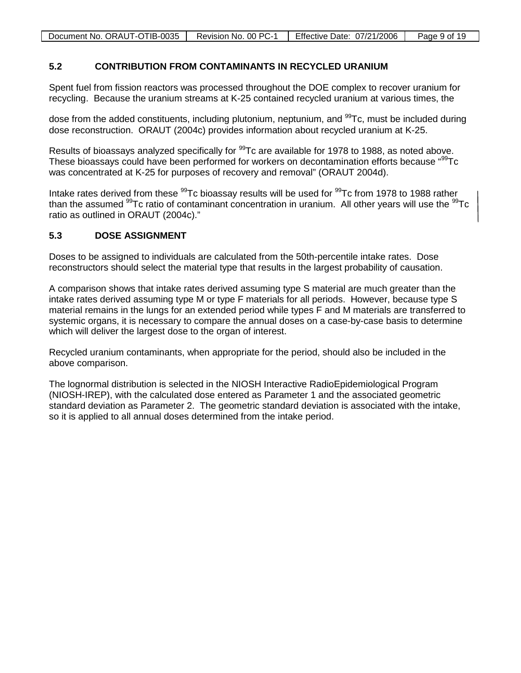| Document No. ORAUT-OTIB-0035 | Revision No. 00 PC-1 | Effective Date: 07/21/2006 | Page 9 of 19 |
|------------------------------|----------------------|----------------------------|--------------|

#### **5.2 CONTRIBUTION FROM CONTAMINANTS IN RECYCLED URANIUM**

Spent fuel from fission reactors was processed throughout the DOE complex to recover uranium for recycling. Because the uranium streams at K-25 contained recycled uranium at various times, the

dose from the added constituents, including plutonium, neptunium, and  $99$ Tc, must be included during dose reconstruction. ORAUT (2004c) provides information about recycled uranium at K-25.

Results of bioassays analyzed specifically for <sup>99</sup>Tc are available for 1978 to 1988, as noted above. These bioassays could have been performed for workers on decontamination efforts because "<sup>99</sup>Tc was concentrated at K-25 for purposes of recovery and removal" (ORAUT 2004d).

Intake rates derived from these <sup>99</sup>Tc bioassay results will be used for <sup>99</sup>Tc from 1978 to 1988 rather than the assumed  $99$ Tc ratio of contaminant concentration in uranium. All other years will use the  $99$ Tc ratio as outlined in ORAUT (2004c)."

#### **5.3 DOSE ASSIGNMENT**

Doses to be assigned to individuals are calculated from the 50th-percentile intake rates. Dose reconstructors should select the material type that results in the largest probability of causation.

A comparison shows that intake rates derived assuming type S material are much greater than the intake rates derived assuming type M or type F materials for all periods. However, because type S material remains in the lungs for an extended period while types F and M materials are transferred to systemic organs, it is necessary to compare the annual doses on a case-by-case basis to determine which will deliver the largest dose to the organ of interest.

Recycled uranium contaminants, when appropriate for the period, should also be included in the above comparison.

The lognormal distribution is selected in the NIOSH Interactive RadioEpidemiological Program (NIOSH-IREP), with the calculated dose entered as Parameter 1 and the associated geometric standard deviation as Parameter 2. The geometric standard deviation is associated with the intake, so it is applied to all annual doses determined from the intake period.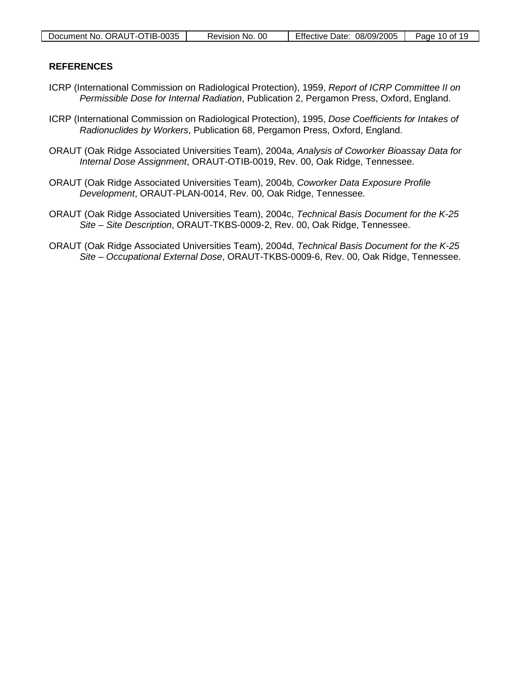| Document No. ORAUT-OTIB-0035 | Revision No. 00 | 08/09/2005<br><b>Effective Date:</b> | Page 10 of 19 |
|------------------------------|-----------------|--------------------------------------|---------------|

#### <span id="page-9-0"></span>**REFERENCES**

- ICRP (International Commission on Radiological Protection), 1959, *Report of ICRP Committee II on Permissible Dose for Internal Radiation*, Publication 2, Pergamon Press, Oxford, England.
- ICRP (International Commission on Radiological Protection), 1995, *Dose Coefficients for Intakes of Radionuclides by Workers*, Publication 68, Pergamon Press, Oxford, England.
- ORAUT (Oak Ridge Associated Universities Team), 2004a, *Analysis of Coworker Bioassay Data for Internal Dose Assignment*, ORAUT-OTIB-0019, Rev. 00, Oak Ridge, Tennessee.
- ORAUT (Oak Ridge Associated Universities Team), 2004b, *Coworker Data Exposure Profile Development*, ORAUT-PLAN-0014, Rev. 00, Oak Ridge, Tennessee.
- ORAUT (Oak Ridge Associated Universities Team), 2004c, *Technical Basis Document for the K-25 Site – Site Description*, ORAUT-TKBS-0009-2, Rev. 00, Oak Ridge, Tennessee.
- ORAUT (Oak Ridge Associated Universities Team), 2004d, *Technical Basis Document for the K-25 Site – Occupational External Dose*, ORAUT-TKBS-0009-6, Rev. 00, Oak Ridge, Tennessee.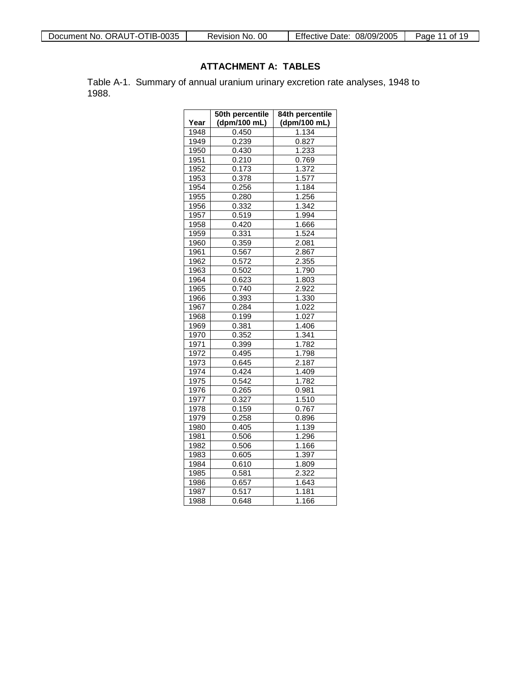| Document No. ORAUT-OTIB-0035 | <b>Effective Date:</b> | 11 of 19 |
|------------------------------|------------------------|----------|
| Revision No. 00              | 08/09/2005             | Page     |

### **ATTACHMENT A: TABLES**

Table A-1. Summary of annual uranium urinary excretion rate analyses, 1948 to 1988.

|      | 50th percentile | 84th percentile |
|------|-----------------|-----------------|
| Year | (dpm/100 mL)    | (dpm/100 mL)    |
| 1948 | 0.450           | 1.134           |
| 1949 | 0.239           | 0.827           |
| 1950 | 0.430           | 1.233           |
| 1951 | 0.210           | 0.769           |
| 1952 | 0.173           | 1.372           |
| 1953 | 0.378           | 1.577           |
| 1954 | 0.256           | 1.184           |
| 1955 | 0.280           | 1.256           |
| 1956 | 0.332           | 1.342           |
| 1957 | 0.519           | 1.994           |
| 1958 | 0.420           | 1.666           |
| 1959 | 0.331           | 1.524           |
| 1960 | 0.359           | 2.081           |
| 1961 | 0.567           | 2.867           |
| 1962 | 0.572           | 2.355           |
| 1963 | 0.502           | 1.790           |
| 1964 | 0.623           | 1.803           |
| 1965 | 0.740           | 2.922           |
| 1966 | 0.393           | 1.330           |
| 1967 | 0.284           | 1.022           |
| 1968 | 0.199           | 1.027           |
| 1969 | 0.381           | 1.406           |
| 1970 | 0.352           | 1.341           |
| 1971 | 0.399           | 1.782           |
| 1972 | 0.495           | 1.798           |
| 1973 | 0.645           | 2.187           |
| 1974 | 0.424           | 1.409           |
| 1975 | 0.542           | 1.782           |
| 1976 | 0.265           | 0.981           |
| 1977 | 0.327           | 1.510           |
| 1978 | 0.159           | 0.767           |
| 1979 | 0.258           | 0.896           |
| 1980 | 0.405           | 1.139           |
| 1981 | 0.506           | 1.296           |
| 1982 | 0.506           | 1.166           |
| 1983 | 0.605           | 1.397           |
| 1984 | 0.610           | 1.809           |
| 1985 | 0.581           | 2.322           |
| 1986 | 0.657           | 1.643           |
| 1987 | 0.517           | 1.181           |
| 1988 | 0.648           | 1.166           |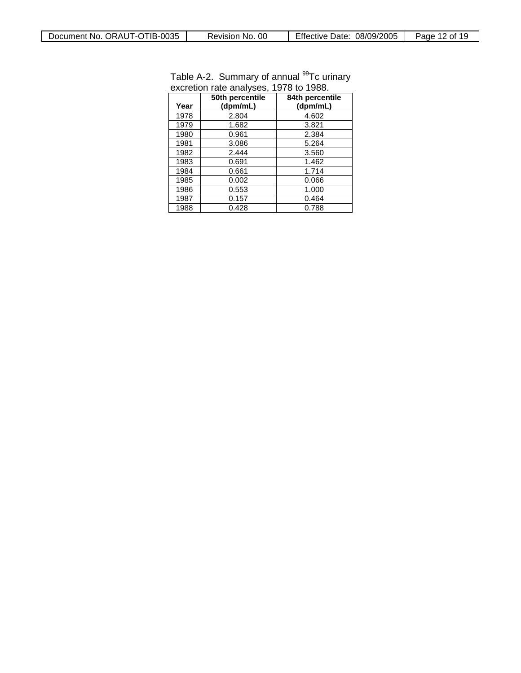| Year | 50th percentile<br>(dpm/mL) | 84th percentile<br>(dpm/mL) |
|------|-----------------------------|-----------------------------|
| 1978 | 2.804                       | 4.602                       |
| 1979 | 1.682                       | 3.821                       |
| 1980 | 0.961                       | 2.384                       |
| 1981 | 3.086                       | 5.264                       |
| 1982 | 2.444                       | 3.560                       |
| 1983 | 0.691                       | 1.462                       |
| 1984 | 0.661                       | 1.714                       |
| 1985 | 0.002                       | 0.066                       |
| 1986 | 0.553                       | 1.000                       |
| 1987 | 0.157                       | 0.464                       |
| 1988 | 0.428                       | 0.788                       |

#### Table A-2. Summary of annual <sup>99</sup>Tc urinary excretion rate analyses, 1978 to 1988.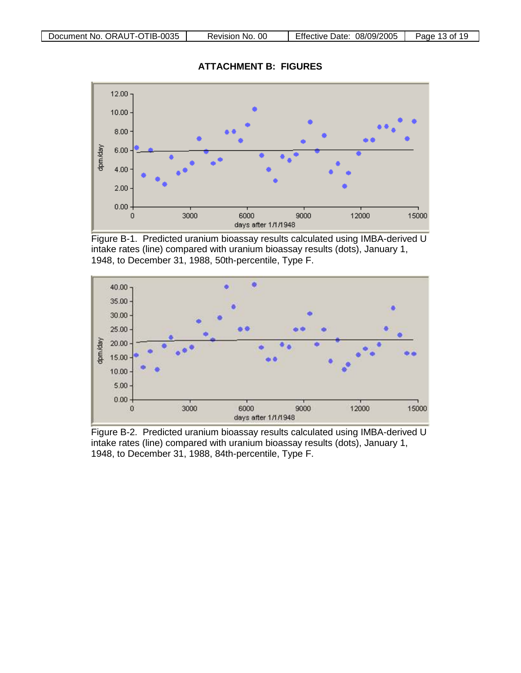**ATTACHMENT B: FIGURES**



Figure B-1. Predicted uranium bioassay results calculated using IMBA-derived U intake rates (line) compared with uranium bioassay results (dots), January 1, 1948, to December 31, 1988, 50th-percentile, Type F.



Figure B-2. Predicted uranium bioassay results calculated using IMBA-derived U intake rates (line) compared with uranium bioassay results (dots), January 1, 1948, to December 31, 1988, 84th-percentile, Type F.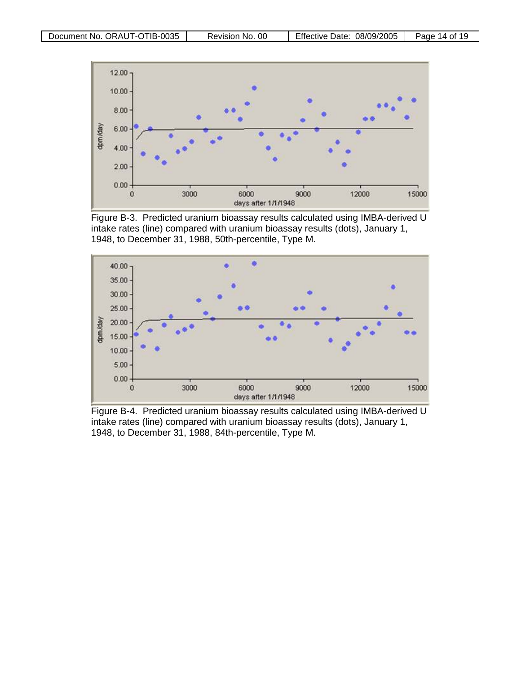

Figure B-3. Predicted uranium bioassay results calculated using IMBA-derived U intake rates (line) compared with uranium bioassay results (dots), January 1, 1948, to December 31, 1988, 50th-percentile, Type M.



Figure B-4. Predicted uranium bioassay results calculated using IMBA-derived U intake rates (line) compared with uranium bioassay results (dots), January 1, 1948, to December 31, 1988, 84th-percentile, Type M.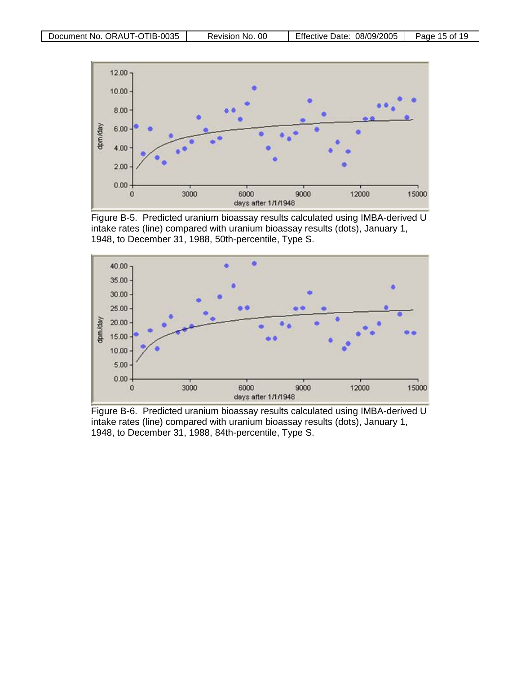

Figure B-5. Predicted uranium bioassay results calculated using IMBA-derived U intake rates (line) compared with uranium bioassay results (dots), January 1, 1948, to December 31, 1988, 50th-percentile, Type S.



Figure B-6. Predicted uranium bioassay results calculated using IMBA-derived U intake rates (line) compared with uranium bioassay results (dots), January 1, 1948, to December 31, 1988, 84th-percentile, Type S.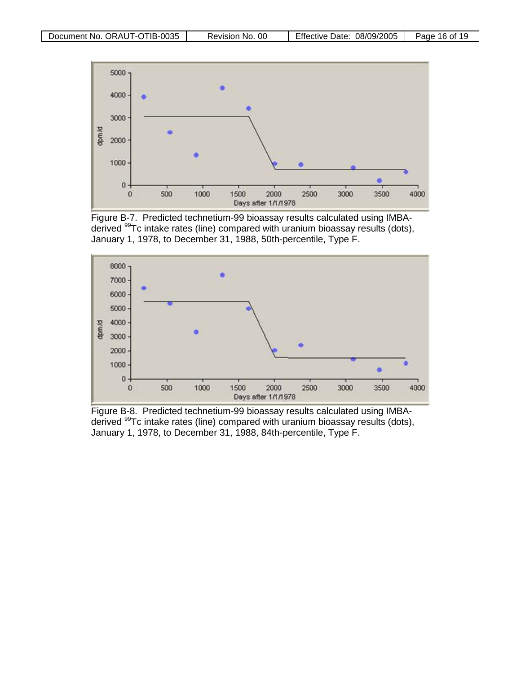

Figure B-7. Predicted technetium-99 bioassay results calculated using IMBAderived 99Tc intake rates (line) compared with uranium bioassay results (dots), January 1, 1978, to December 31, 1988, 50th-percentile, Type F.



Figure B-8. Predicted technetium-99 bioassay results calculated using IMBAderived 99Tc intake rates (line) compared with uranium bioassay results (dots), January 1, 1978, to December 31, 1988, 84th-percentile, Type F.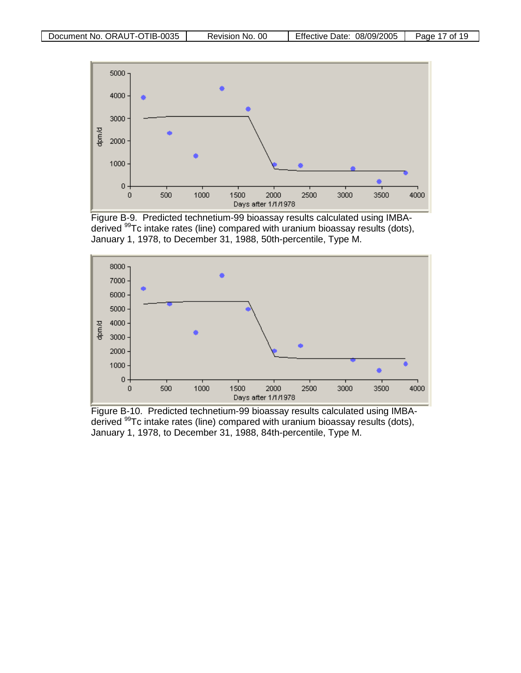

Figure B-9. Predicted technetium-99 bioassay results calculated using IMBAderived 99Tc intake rates (line) compared with uranium bioassay results (dots), January 1, 1978, to December 31, 1988, 50th-percentile, Type M.



<span id="page-16-0"></span>Figure B-10. Predicted technetium-99 bioassay results calculated using IMBAderived 99Tc intake rates (line) compared with uranium bioassay results (dots), January 1, 1978, to December 31, 1988, 84th-percentile, Type M.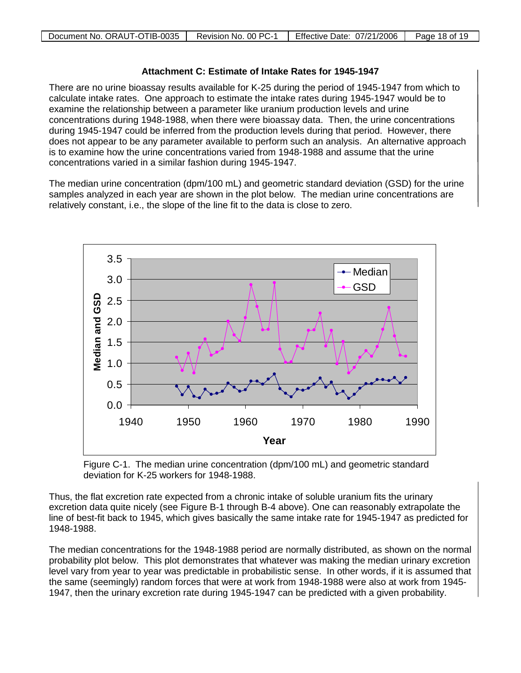#### **Attachment C: Estimate of Intake Rates for 1945-1947**

There are no urine bioassay results available for K-25 during the period of 1945-1947 from which to calculate intake rates. One approach to estimate the intake rates during 1945-1947 would be to examine the relationship between a parameter like uranium production levels and urine concentrations during 1948-1988, when there were bioassay data. Then, the urine concentrations during 1945-1947 could be inferred from the production levels during that period. However, there does not appear to be any parameter available to perform such an analysis. An alternative approach is to examine how the urine concentrations varied from 1948-1988 and assume that the urine concentrations varied in a similar fashion during 1945-1947.

The median urine concentration (dpm/100 mL) and geometric standard deviation (GSD) for the urine samples analyzed in each year are shown in the plot below. The median urine concentrations are relatively constant, i.e., the slope of the line fit to the data is close to zero.



Figure C-1. The median urine concentration (dpm/100 mL) and geometric standard deviation for K-25 workers for 1948-1988.

Thus, the flat excretion rate expected from a chronic intake of soluble uranium fits the urinary excretion data quite nicely (see Figure B-1 through B-4 above). One can reasonably extrapolate the line of best-fit back to 1945, which gives basically the same intake rate for 1945-1947 as predicted for 1948-1988.

The median concentrations for the 1948-1988 period are normally distributed, as shown on the normal probability plot below. This plot demonstrates that whatever was making the median urinary excretion level vary from year to year was predictable in probabilistic sense. In other words, if it is assumed that the same (seemingly) random forces that were at work from 1948-1988 were also at work from 1945- 1947, then the urinary excretion rate during 1945-1947 can be predicted with a given probability.